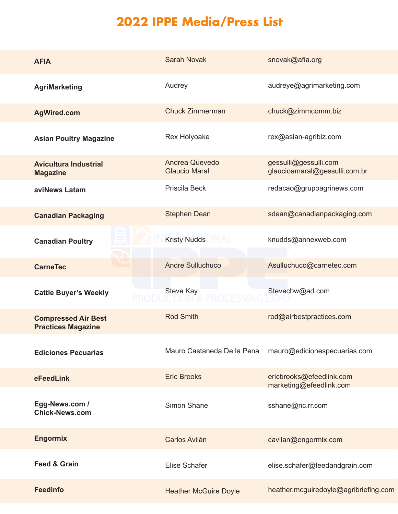## **2022 IPPE Media/Press List**

| <b>AFIA</b>                                             | <b>Sarah Novak</b>                     | snovak@afia.org                                        |
|---------------------------------------------------------|----------------------------------------|--------------------------------------------------------|
| <b>AgriMarketing</b>                                    | Audrey                                 | audreye@agrimarketing.com                              |
| <b>AgWired.com</b>                                      | <b>Chuck Zimmerman</b>                 | chuck@zimmcomm.biz                                     |
| <b>Asian Poultry Magazine</b>                           | Rex Holyoake                           | rex@asian-agribiz.com                                  |
| <b>Avicultura Industrial</b><br><b>Magazine</b>         | Andrea Quevedo<br><b>Glaucio Maral</b> | gessulli@gessulli.com<br>glaucioamaral@gessulli.com.br |
| aviNews Latam                                           | Priscila Beck                          | redacao@grupoagrinews.com                              |
| <b>Canadian Packaging</b>                               | <b>Stephen Dean</b>                    | sdean@canadianpackaging.com                            |
| <b>Canadian Poultry</b>                                 | Kristy Nudds NAL                       | knudds@annexweb.com                                    |
| <b>CarneTec</b>                                         | <b>Andre Sulluchuco</b>                | Asulluchuco@carnetec.com                               |
| <b>Cattle Buyer's Weekly</b>                            | <b>Steve Kay</b>                       | Stevecbw@ad.com                                        |
| <b>Compressed Air Best</b><br><b>Practices Magazine</b> | <b>Rod Smith</b>                       | rod@airbestpractices.com                               |
| <b>Ediciones Pecuarias</b>                              | Mauro Castaneda De la Pena             | mauro@edicionespecuarias.com                           |
| eFeedLink                                               | <b>Eric Brooks</b>                     | ericbrooks@efeedlink.com<br>marketing@efeedlink.com    |
| Egg-News.com /<br><b>Chick-News.com</b>                 | Simon Shane                            | sshane@nc.rr.com                                       |
| <b>Engormix</b>                                         | <b>Carlos Avilán</b>                   | cavilan@engormix.com                                   |
| <b>Feed &amp; Grain</b>                                 | Elise Schafer                          | elise.schafer@feedandgrain.com                         |
| <b>Feedinfo</b>                                         | <b>Heather McGuire Doyle</b>           | heather.mcguiredoyle@agribriefing.com                  |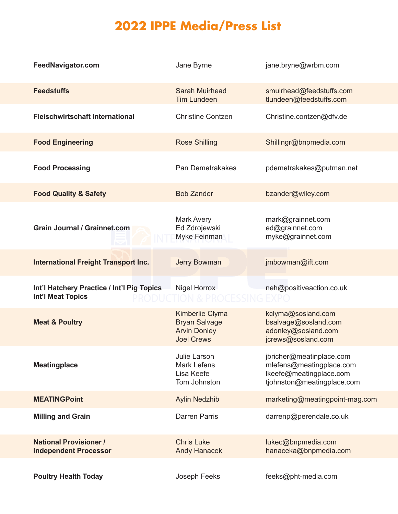## **2022 IPPE Media/Press List**

| FeedNavigator.com                                                      | Jane Byrne                                                                                 | jane.bryne@wrbm.com                                                                                           |
|------------------------------------------------------------------------|--------------------------------------------------------------------------------------------|---------------------------------------------------------------------------------------------------------------|
| <b>Feedstuffs</b>                                                      | <b>Sarah Muirhead</b><br><b>Tim Lundeen</b>                                                | smuirhead@feedstuffs.com<br>tlundeen@feedstuffs.com                                                           |
| <b>Fleischwirtschaft International</b>                                 | <b>Christine Contzen</b>                                                                   | Christine.contzen@dfv.de                                                                                      |
| <b>Food Engineering</b>                                                | <b>Rose Shilling</b>                                                                       | Shillingr@bnpmedia.com                                                                                        |
| <b>Food Processing</b>                                                 | Pan Demetrakakes                                                                           | pdemetrakakes@putman.net                                                                                      |
| <b>Food Quality &amp; Safety</b>                                       | <b>Bob Zander</b>                                                                          | bzander@wiley.com                                                                                             |
| <b>Grain Journal / Grainnet.com</b>                                    | <b>Mark Avery</b><br>Ed Zdrojewski<br>Myke Feinman                                         | mark@grainnet.com<br>ed@grainnet.com<br>myke@grainnet.com                                                     |
| <b>International Freight Transport Inc.</b>                            | <b>Jerry Bowman</b>                                                                        | jmbowman@ift.com                                                                                              |
| Int'l Hatchery Practice / Int'l Pig Topics<br><b>Int'l Meat Topics</b> | <b>Nigel Horrox</b>                                                                        | neh@positiveaction.co.uk                                                                                      |
| <b>Meat &amp; Poultry</b>                                              | <b>Kimberlie Clyma</b><br><b>Bryan Salvage</b><br><b>Arvin Donley</b><br><b>Joel Crews</b> | kclyma@sosland.com<br>bsalvage@sosland.com<br>adonley@sosland.com<br>jcrews@sosland.com                       |
| <b>Meatingplace</b>                                                    | Julie Larson<br><b>Mark Lefens</b><br>Lisa Keefe<br>Tom Johnston                           | jbricher@meatinplace.com<br>mlefens@meatingplace.com<br>Ikeefe@meatingplace.com<br>tjohnston@meatingplace.com |
| <b>MEATINGPoint</b>                                                    | <b>Aylin Nedzhib</b>                                                                       | marketing@meatingpoint-mag.com                                                                                |
| <b>Milling and Grain</b>                                               | <b>Darren Parris</b>                                                                       | darrenp@perendale.co.uk                                                                                       |
| <b>National Provisioner /</b><br><b>Independent Processor</b>          | <b>Chris Luke</b><br><b>Andy Hanacek</b>                                                   | lukec@bnpmedia.com<br>hanaceka@bnpmedia.com                                                                   |
| <b>Poultry Health Today</b>                                            | Joseph Feeks                                                                               | feeks@pht-media.com                                                                                           |